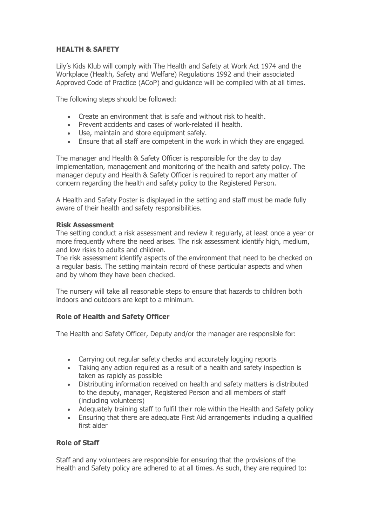# **HEALTH & SAFETY**

Lily's Kids Klub will comply with The Health and Safety at Work Act 1974 and the Workplace (Health, Safety and Welfare) Regulations 1992 and their associated Approved Code of Practice (ACoP) and guidance will be complied with at all times.

The following steps should be followed:

- Create an environment that is safe and without risk to health.
- Prevent accidents and cases of work-related ill health.
- Use, maintain and store equipment safely.
- Ensure that all staff are competent in the work in which they are engaged.

The manager and Health & Safety Officer is responsible for the day to day implementation, management and monitoring of the health and safety policy. The manager deputy and Health & Safety Officer is required to report any matter of concern regarding the health and safety policy to the Registered Person.

A Health and Safety Poster is displayed in the setting and staff must be made fully aware of their health and safety responsibilities.

## **Risk Assessment**

The setting conduct a risk assessment and review it regularly, at least once a year or more frequently where the need arises. The risk assessment identify high, medium, and low risks to adults and children.

The risk assessment identify aspects of the environment that need to be checked on a regular basis. The setting maintain record of these particular aspects and when and by whom they have been checked.

The nursery will take all reasonable steps to ensure that hazards to children both indoors and outdoors are kept to a minimum.

# **Role of Health and Safety Officer**

The Health and Safety Officer, Deputy and/or the manager are responsible for:

- Carrying out regular safety checks and accurately logging reports
- Taking any action required as a result of a health and safety inspection is taken as rapidly as possible
- Distributing information received on health and safety matters is distributed to the deputy, manager, Registered Person and all members of staff (including volunteers)
- Adequately training staff to fulfil their role within the Health and Safety policy
- Ensuring that there are adequate First Aid arrangements including a qualified first aider

## **Role of Staff**

Staff and any volunteers are responsible for ensuring that the provisions of the Health and Safety policy are adhered to at all times. As such, they are required to: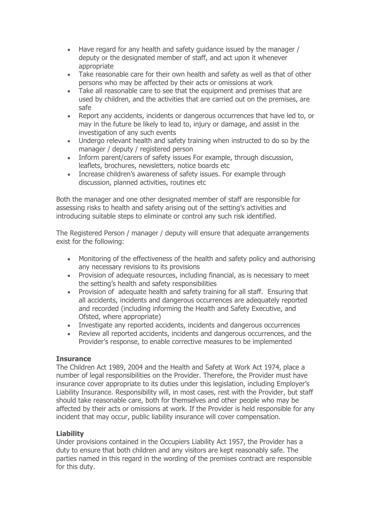- Have regard for any health and safety guidance issued by the manager / deputy or the designated member of staff, and act upon it whenever appropriate
- Take reasonable care for their own health and safety as well as that of other persons who may be affected by their acts or omissions at work
- Take all reasonable care to see that the equipment and premises that are used by children, and the activities that are carried out on the premises, are safe
- Report any accidents, incidents or dangerous occurrences that have led to, or may in the future be likely to lead to, injury or damage, and assist in the investigation of any such events
- Undergo relevant health and safety training when instructed to do so by the manager / deputy / registered person
- Inform parent/carers of safety issues For example, through discussion, leaflets, brochures, newsletters, notice boards etc
- Increase children's awareness of safety issues. For example through discussion, planned activities, routines etc

Both the manager and one other designated member of staff are responsible for assessing risks to health and safety arising out of the setting's activities and introducing suitable steps to eliminate or control any such risk identified.

The Registered Person / manager / deputy will ensure that adequate arrangements exist for the following:

- Monitoring of the effectiveness of the health and safety policy and authorising any necessary revisions to its provisions
- Provision of adequate resources, including financial, as is necessary to meet the setting's health and safety responsibilities
- Provision of adequate health and safety training for all staff. Ensuring that all accidents, incidents and dangerous occurrences are adequately reported and recorded (including informing the Health and Safety Executive, and Ofsted, where appropriate)
- Investigate any reported accidents, incidents and dangerous occurrences
- Review all reported accidents, incidents and dangerous occurrences, and the Provider's response, to enable corrective measures to be implemented

# **Insurance**

The Children Act 1989, 2004 and the Health and Safety at Work Act 1974, place a number of legal responsibilities on the Provider. Therefore, the Provider must have insurance cover appropriate to its duties under this legislation, including Employer's Liability Insurance. Responsibility will, in most cases, rest with the Provider, but staff should take reasonable care, both for themselves and other people who may be affected by their acts or omissions at work. If the Provider is held responsible for any incident that may occur, public liability insurance will cover compensation.

# **Liability**

Under provisions contained in the Occupiers Liability Act 1957, the Provider has a duty to ensure that both children and any visitors are kept reasonably safe. The parties named in this regard in the wording of the premises contract are responsible for this duty.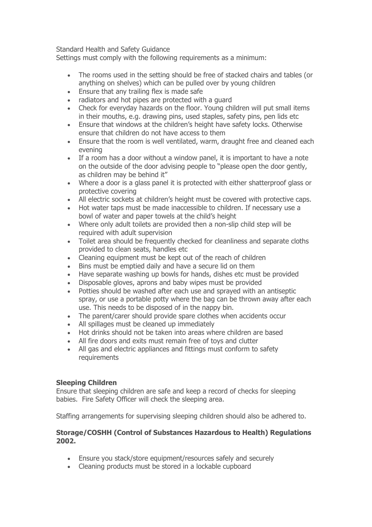Standard Health and Safety Guidance

Settings must comply with the following requirements as a minimum:

- The rooms used in the setting should be free of stacked chairs and tables (or anything on shelves) which can be pulled over by young children
- Ensure that any trailing flex is made safe
- radiators and hot pipes are protected with a guard
- Check for everyday hazards on the floor. Young children will put small items in their mouths, e.g. drawing pins, used staples, safety pins, pen lids etc
- Ensure that windows at the children's height have safety locks. Otherwise ensure that children do not have access to them
- Ensure that the room is well ventilated, warm, draught free and cleaned each evening
- If a room has a door without a window panel, it is important to have a note on the outside of the door advising people to "please open the door gently, as children may be behind it"
- Where a door is a glass panel it is protected with either shatterproof glass or protective covering
- All electric sockets at children's height must be covered with protective caps.
- Hot water taps must be made inaccessible to children. If necessary use a bowl of water and paper towels at the child's height
- Where only adult toilets are provided then a non-slip child step will be required with adult supervision
- Toilet area should be frequently checked for cleanliness and separate cloths provided to clean seats, handles etc
- Cleaning equipment must be kept out of the reach of children
- Bins must be emptied daily and have a secure lid on them
- Have separate washing up bowls for hands, dishes etc must be provided
- Disposable gloves, aprons and baby wipes must be provided
- Potties should be washed after each use and sprayed with an antiseptic spray, or use a portable potty where the bag can be thrown away after each use. This needs to be disposed of in the nappy bin.
- The parent/carer should provide spare clothes when accidents occur
- All spillages must be cleaned up immediately
- Hot drinks should not be taken into areas where children are based
- All fire doors and exits must remain free of toys and clutter
- All gas and electric appliances and fittings must conform to safety requirements

## **Sleeping Children**

Ensure that sleeping children are safe and keep a record of checks for sleeping babies. Fire Safety Officer will check the sleeping area.

Staffing arrangements for supervising sleeping children should also be adhered to.

## **Storage/COSHH (Control of Substances Hazardous to Health) Regulations 2002.**

- Ensure you stack/store equipment/resources safely and securely
- Cleaning products must be stored in a lockable cupboard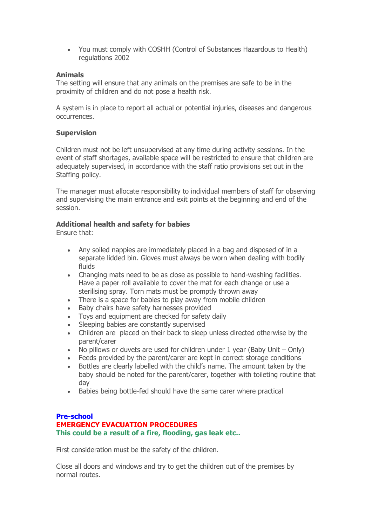You must comply with COSHH (Control of Substances Hazardous to Health) regulations 2002

## **Animals**

The setting will ensure that any animals on the premises are safe to be in the proximity of children and do not pose a health risk.

A system is in place to report all actual or potential injuries, diseases and dangerous occurrences.

## **Supervision**

Children must not be left unsupervised at any time during activity sessions. In the event of staff shortages, available space will be restricted to ensure that children are adequately supervised, in accordance with the staff ratio provisions set out in the Staffing policy.

The manager must allocate responsibility to individual members of staff for observing and supervising the main entrance and exit points at the beginning and end of the session.

## **Additional health and safety for babies**

Ensure that:

- Any soiled nappies are immediately placed in a bag and disposed of in a separate lidded bin. Gloves must always be worn when dealing with bodily fluids
- Changing mats need to be as close as possible to hand-washing facilities. Have a paper roll available to cover the mat for each change or use a sterilising spray. Torn mats must be promptly thrown away
- There is a space for babies to play away from mobile children
- Baby chairs have safety harnesses provided
- Toys and equipment are checked for safety daily
- Sleeping babies are constantly supervised
- Children are placed on their back to sleep unless directed otherwise by the parent/carer
- No pillows or duvets are used for children under 1 year (Baby Unit  $-$  Only)
- Feeds provided by the parent/carer are kept in correct storage conditions
- Bottles are clearly labelled with the child's name. The amount taken by the baby should be noted for the parent/carer, together with toileting routine that day
- Babies being bottle-fed should have the same carer where practical

# **Pre-school**

## **EMERGENCY EVACUATION PROCEDURES This could be a result of a fire, flooding, gas leak etc..**

First consideration must be the safety of the children.

Close all doors and windows and try to get the children out of the premises by normal routes.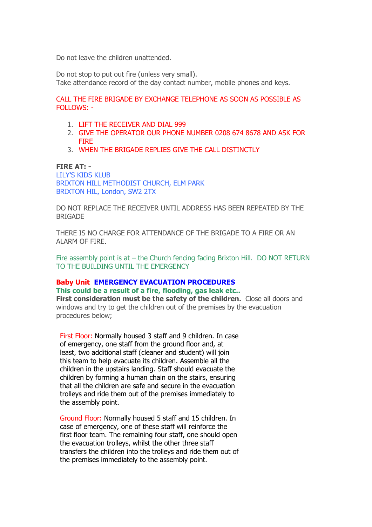Do not leave the children unattended.

Do not stop to put out fire (unless very small). Take attendance record of the day contact number, mobile phones and keys.

CALL THE FIRE BRIGADE BY EXCHANGE TELEPHONE AS SOON AS POSSIBLE AS FOLLOWS: -

- 1. LIFT THE RECEIVER AND DIAL 999
- 2. GIVE THE OPERATOR OUR PHONE NUMBER 0208 674 8678 AND ASK FOR FIRE
- 3. WHEN THE BRIGADE REPLIES GIVE THE CALL DISTINCTLY

#### **FIRE AT: -**

LILY'S KIDS KLUB BRIXTON HILL METHODIST CHURCH, ELM PARK BRIXTON HIL, London, SW2 2TX

DO NOT REPLACE THE RECEIVER UNTIL ADDRESS HAS BEEN REPEATED BY THE **BRIGADE** 

THERE IS NO CHARGE FOR ATTENDANCE OF THE BRIGADE TO A FIRE OR AN ALARM OF FIRE.

Fire assembly point is at – the Church fencing facing Brixton Hill. DO NOT RETURN TO THE BUILDING UNTIL THE EMERGENCY

## **Baby Unit EMERGENCY EVACUATION PROCEDURES This could be a result of a fire, flooding, gas leak etc..**

**First consideration must be the safety of the children.** Close all doors and windows and try to get the children out of the premises by the evacuation procedures below;

First Floor: Normally housed 3 staff and 9 children. In case of emergency, one staff from the ground floor and, at least, two additional staff (cleaner and student) will join this team to help evacuate its children. Assemble all the children in the upstairs landing. Staff should evacuate the children by forming a human chain on the stairs, ensuring that all the children are safe and secure in the evacuation trolleys and ride them out of the premises immediately to the assembly point.

Ground Floor: Normally housed 5 staff and 15 children. In case of emergency, one of these staff will reinforce the first floor team. The remaining four staff, one should open the evacuation trolleys, whilst the other three staff transfers the children into the trolleys and ride them out of the premises immediately to the assembly point.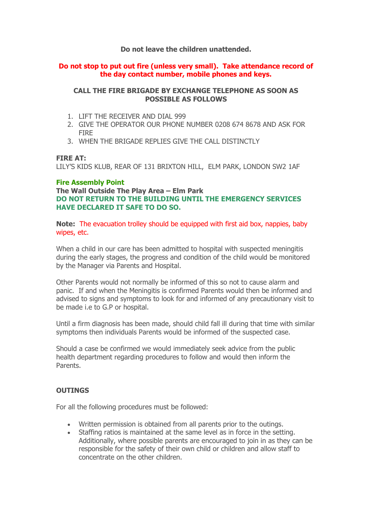## **Do not leave the children unattended.**

## **Do not stop to put out fire (unless very small). Take attendance record of the day contact number, mobile phones and keys.**

## **CALL THE FIRE BRIGADE BY EXCHANGE TELEPHONE AS SOON AS POSSIBLE AS FOLLOWS**

- 1. LIFT THE RECEIVER AND DIAL 999
- 2. GIVE THE OPERATOR OUR PHONE NUMBER 0208 674 8678 AND ASK FOR FIRE
- 3. WHEN THE BRIGADE REPLIES GIVE THE CALL DISTINCTLY

## **FIRE AT:**

LILY'S KIDS KLUB, REAR OF 131 BRIXTON HILL, ELM PARK, LONDON SW2 1AF

## **Fire Assembly Point**

**The Wall Outside The Play Area – Elm Park DO NOT RETURN TO THE BUILDING UNTIL THE EMERGENCY SERVICES HAVE DECLARED IT SAFE TO DO SO.**

**Note:** The evacuation trolley should be equipped with first aid box, nappies, baby wipes, etc.

When a child in our care has been admitted to hospital with suspected meningitis during the early stages, the progress and condition of the child would be monitored by the Manager via Parents and Hospital.

Other Parents would not normally be informed of this so not to cause alarm and panic. If and when the Meningitis is confirmed Parents would then be informed and advised to signs and symptoms to look for and informed of any precautionary visit to be made i.e to G.P or hospital.

Until a firm diagnosis has been made, should child fall ill during that time with similar symptoms then individuals Parents would be informed of the suspected case.

Should a case be confirmed we would immediately seek advice from the public health department regarding procedures to follow and would then inform the Parents.

# **OUTINGS**

For all the following procedures must be followed:

- Written permission is obtained from all parents prior to the outings.
- Staffing ratios is maintained at the same level as in force in the setting. Additionally, where possible parents are encouraged to join in as they can be responsible for the safety of their own child or children and allow staff to concentrate on the other children.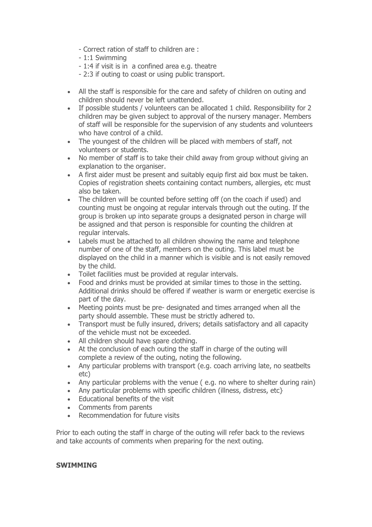- Correct ration of staff to children are :
- 1:1 Swimming
- 1:4 if visit is in a confined area e.g. theatre
- 2:3 if outing to coast or using public transport.
- All the staff is responsible for the care and safety of children on outing and children should never be left unattended.
- If possible students / volunteers can be allocated 1 child. Responsibility for 2 children may be given subject to approval of the nursery manager. Members of staff will be responsible for the supervision of any students and volunteers who have control of a child.
- The youngest of the children will be placed with members of staff, not volunteers or students.
- No member of staff is to take their child away from group without giving an explanation to the organiser.
- A first aider must be present and suitably equip first aid box must be taken. Copies of registration sheets containing contact numbers, allergies, etc must also be taken.
- The children will be counted before setting off (on the coach if used) and counting must be ongoing at regular intervals through out the outing. If the group is broken up into separate groups a designated person in charge will be assigned and that person is responsible for counting the children at regular intervals.
- Labels must be attached to all children showing the name and telephone number of one of the staff, members on the outing. This label must be displayed on the child in a manner which is visible and is not easily removed by the child.
- Toilet facilities must be provided at regular intervals.
- Food and drinks must be provided at similar times to those in the setting. Additional drinks should be offered if weather is warm or energetic exercise is part of the day.
- Meeting points must be pre- designated and times arranged when all the party should assemble. These must be strictly adhered to.
- Transport must be fully insured, drivers; details satisfactory and all capacity of the vehicle must not be exceeded.
- All children should have spare clothing.
- At the conclusion of each outing the staff in charge of the outing will complete a review of the outing, noting the following.
- Any particular problems with transport (e.g. coach arriving late, no seatbelts etc)
- Any particular problems with the venue ( e.g. no where to shelter during rain)
- Any particular problems with specific children (illness, distress, etc)
- Educational benefits of the visit
- Comments from parents
- Recommendation for future visits

Prior to each outing the staff in charge of the outing will refer back to the reviews and take accounts of comments when preparing for the next outing.

## **SWIMMING**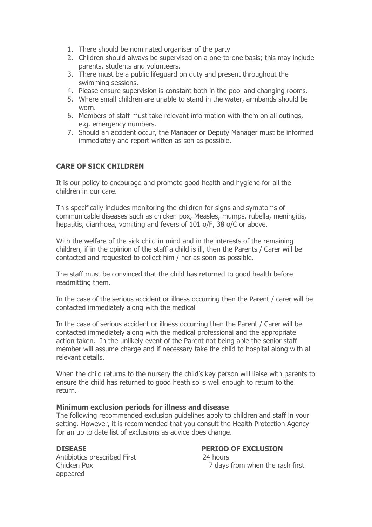- 1. There should be nominated organiser of the party
- 2. Children should always be supervised on a one-to-one basis; this may include parents, students and volunteers.
- 3. There must be a public lifeguard on duty and present throughout the swimming sessions.
- 4. Please ensure supervision is constant both in the pool and changing rooms.
- 5. Where small children are unable to stand in the water, armbands should be worn.
- 6. Members of staff must take relevant information with them on all outings, e.g. emergency numbers.
- 7. Should an accident occur, the Manager or Deputy Manager must be informed immediately and report written as son as possible.

# **CARE OF SICK CHILDREN**

It is our policy to encourage and promote good health and hygiene for all the children in our care.

This specifically includes monitoring the children for signs and symptoms of communicable diseases such as chicken pox, Measles, mumps, rubella, meningitis, hepatitis, diarrhoea, vomiting and fevers of 101 o/F, 38 o/C or above.

With the welfare of the sick child in mind and in the interests of the remaining children, if in the opinion of the staff a child is ill, then the Parents / Carer will be contacted and requested to collect him / her as soon as possible.

The staff must be convinced that the child has returned to good health before readmitting them.

In the case of the serious accident or illness occurring then the Parent / carer will be contacted immediately along with the medical

In the case of serious accident or illness occurring then the Parent / Carer will be contacted immediately along with the medical professional and the appropriate action taken. In the unlikely event of the Parent not being able the senior staff member will assume charge and if necessary take the child to hospital along with all relevant details.

When the child returns to the nursery the child's key person will liaise with parents to ensure the child has returned to good heath so is well enough to return to the return.

## **Minimum exclusion periods for illness and disease**

The following recommended exclusion guidelines apply to children and staff in your setting. However, it is recommended that you consult the Health Protection Agency for an up to date list of exclusions as advice does change.

Antibiotics prescribed First 24 hours appeared

# **DISEASE PERIOD OF EXCLUSION**

Chicken Pox 7 days from when the rash first